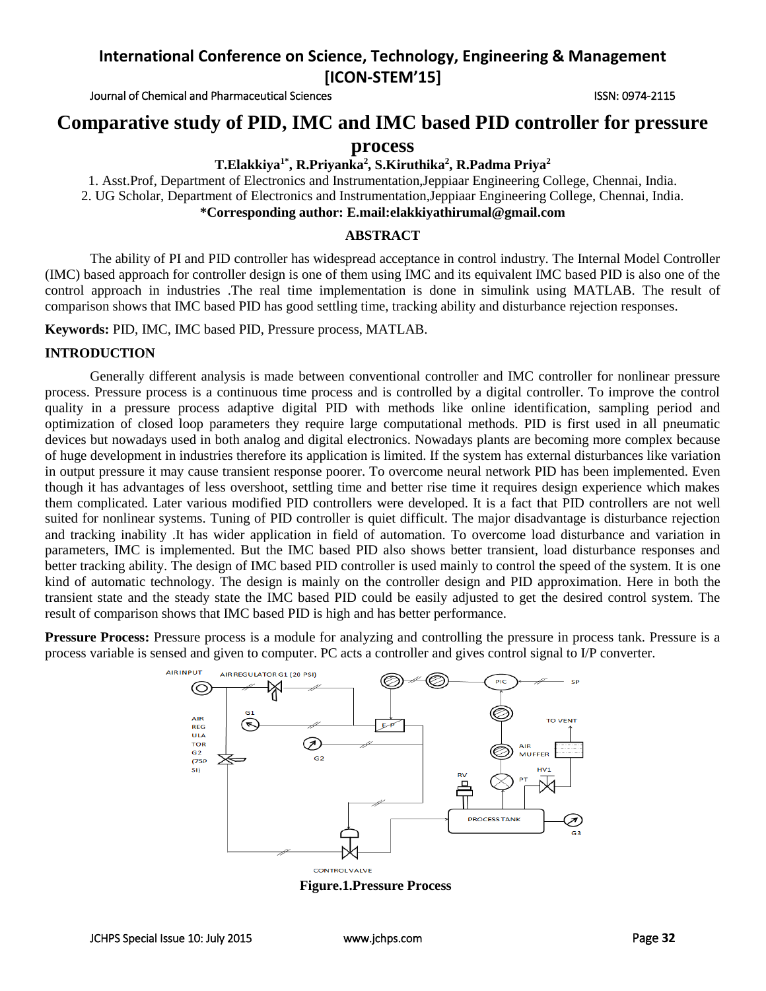Journal of Chemical and Pharmaceutical Sciences ISSN: 0974-2115

# **Comparative study of PID, IMC and IMC based PID controller for pressure**

**process**

## **T.Elakkiya1\* , R.Priyanka<sup>2</sup> , S.Kiruthika<sup>2</sup> , R.Padma Priya<sup>2</sup>**

1. Asst.Prof, Department of Electronics and Instrumentation,Jeppiaar Engineering College, Chennai, India. 2. UG Scholar, Department of Electronics and Instrumentation,Jeppiaar Engineering College, Chennai, India. **\*Corresponding author: E.mail:elakkiyathirumal@gmail.com**

### **ABSTRACT**

The ability of PI and PID controller has widespread acceptance in control industry. The Internal Model Controller (IMC) based approach for controller design is one of them using IMC and its equivalent IMC based PID is also one of the control approach in industries .The real time implementation is done in simulink using MATLAB. The result of comparison shows that IMC based PID has good settling time, tracking ability and disturbance rejection responses.

**Keywords:** PID, IMC, IMC based PID, Pressure process, MATLAB.

### **INTRODUCTION**

Generally different analysis is made between conventional controller and IMC controller for nonlinear pressure process. Pressure process is a continuous time process and is controlled by a digital controller. To improve the control quality in a pressure process adaptive digital PID with methods like online identification, sampling period and optimization of closed loop parameters they require large computational methods. PID is first used in all pneumatic devices but nowadays used in both analog and digital electronics. Nowadays plants are becoming more complex because of huge development in industries therefore its application is limited. If the system has external disturbances like variation in output pressure it may cause transient response poorer. To overcome neural network PID has been implemented. Even though it has advantages of less overshoot, settling time and better rise time it requires design experience which makes them complicated. Later various modified PID controllers were developed. It is a fact that PID controllers are not well suited for nonlinear systems. Tuning of PID controller is quiet difficult. The major disadvantage is disturbance rejection and tracking inability .It has wider application in field of automation. To overcome load disturbance and variation in parameters, IMC is implemented. But the IMC based PID also shows better transient, load disturbance responses and better tracking ability. The design of IMC based PID controller is used mainly to control the speed of the system. It is one kind of automatic technology. The design is mainly on the controller design and PID approximation. Here in both the transient state and the steady state the IMC based PID could be easily adjusted to get the desired control system. The result of comparison shows that IMC based PID is high and has better performance.

**Pressure Process:** Pressure process is a module for analyzing and controlling the pressure in process tank. Pressure is a process variable is sensed and given to computer. PC acts a controller and gives control signal to I/P converter.



**Figure.1.Pressure Process**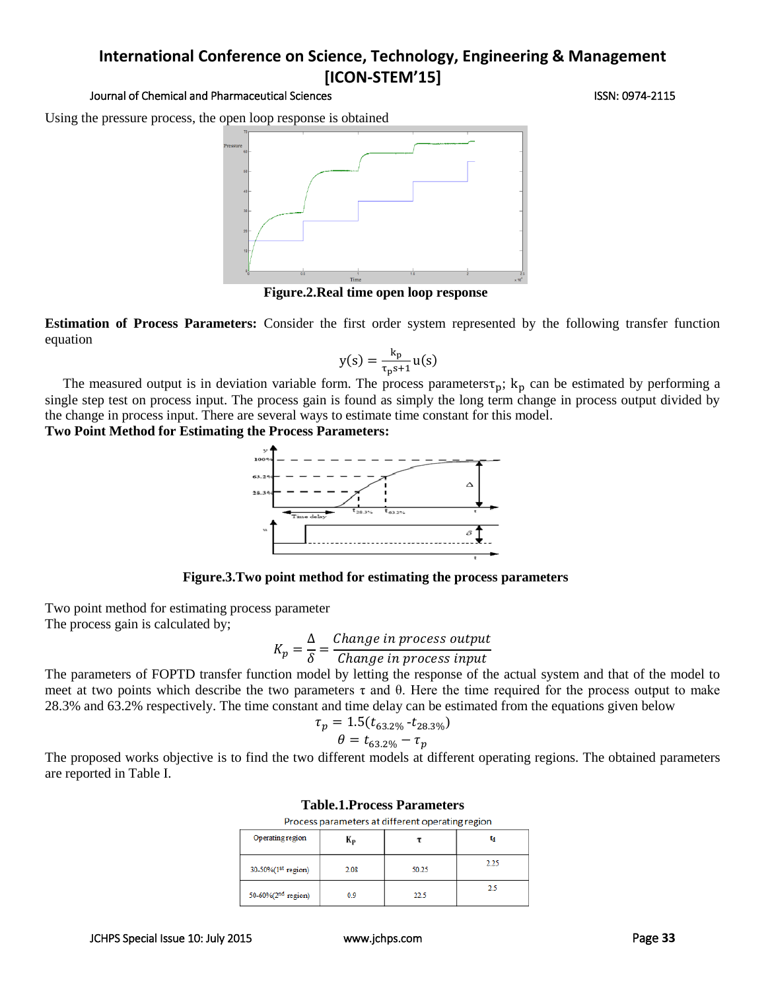### Journal of Chemical and Pharmaceutical Sciences ISSN: 0974-2115

Using the pressure process, the open loop response is obtained



**Figure.2.Real time open loop response**

**Estimation of Process Parameters:** Consider the first order system represented by the following transfer function equation

$$
y(s) = \frac{k_p}{\tau_p s + 1} u(s)
$$

The measured output is in deviation variable form. The process parameters $\tau_p$ ;  $k_p$  can be estimated by performing a single step test on process input. The process gain is found as simply the long term change in process output divided by the change in process input. There are several ways to estimate time constant for this model.

## **Two Point Method for Estimating the Process Parameters:**



**Figure.3.Two point method for estimating the process parameters**

Two point method for estimating process parameter The process gain is calculated by;

$$
K_p = \frac{\Delta}{\delta} = \frac{Change\ in\ process\ output}{Change\ in\ process\ input}
$$

The parameters of FOPTD transfer function model by letting the response of the actual system and that of the model to meet at two points which describe the two parameters τ and θ. Here the time required for the process output to make 28.3% and 63.2% respectively. The time constant and time delay can be estimated from the equations given below

$$
\tau_p = 1.5(t_{63.2\%} - t_{28.3\%})
$$

$$
\theta = t_{63.2\%} - \tau_p
$$

The proposed works objective is to find the two different models at different operating regions. The obtained parameters are reported in Table I.

| Table. T.T Tucess T al allielel s<br>Process parameters at different operating region |      |       |      |  |  |
|---------------------------------------------------------------------------------------|------|-------|------|--|--|
|                                                                                       |      |       |      |  |  |
| 30-50%(1 <sup>st</sup> region)                                                        | 2.08 | 50.25 | 2.25 |  |  |
| 50-60%(2 <sup>nd</sup> region)                                                        | 0.9  | 22.5  | 2.5  |  |  |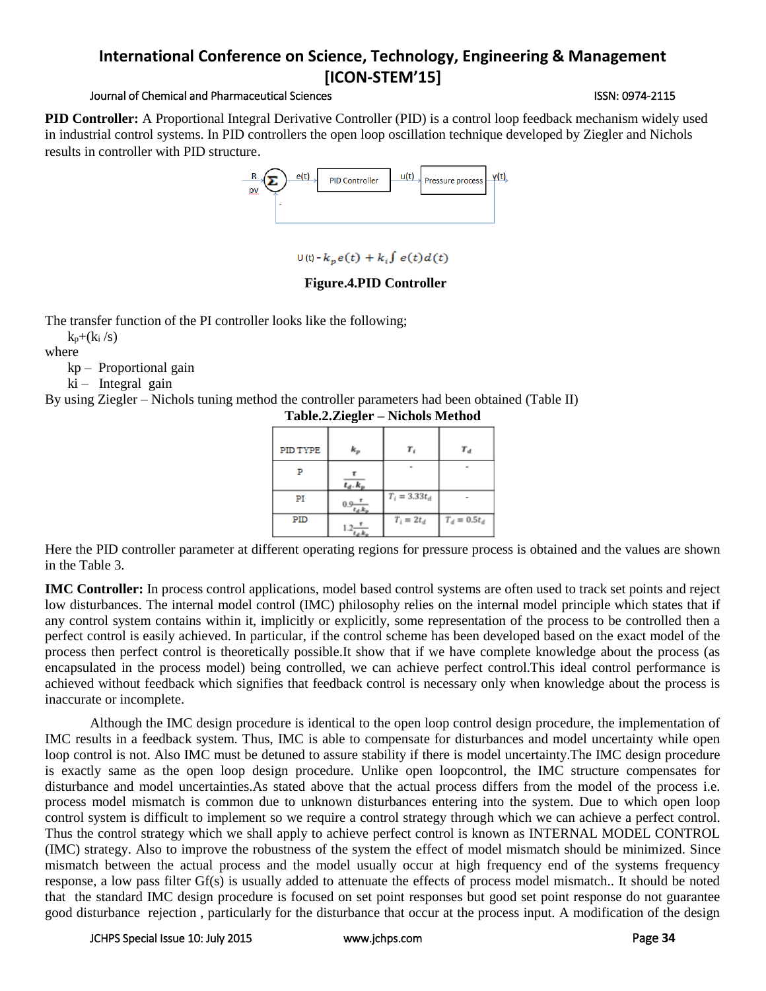## Journal of Chemical and Pharmaceutical Sciences ISSN: 0974-2115

**PID Controller:** A Proportional Integral Derivative Controller (PID) is a control loop feedback mechanism widely used in industrial control systems. In PID controllers the open loop oscillation technique developed by Ziegler and Nichols results in controller with PID structure.



```
U(t) = k_p e(t) + k_i \int e(t) d(t)
```
## **Figure.4.PID Controller**

The transfer function of the PI controller looks like the following;

 $k_p+(k_i/s)$ 

where

kp – Proportional gain

 $ki$  – Integral gain

By using Ziegler – Nichols tuning method the controller parameters had been obtained (Table II)

| PID TYPE | $k_{p}$       | т,              | $T_d$           |
|----------|---------------|-----------------|-----------------|
| P        | $t_d$ . $k$ . |                 |                 |
| PI       | $0.9 -$       | $T_i = 3.33t_d$ |                 |
| PID      |               | $T_i = 2t_d$    | $T_d = 0.5 t_d$ |

**Table.2.Ziegler – Nichols Method**

Here the PID controller parameter at different operating regions for pressure process is obtained and the values are shown in the Table 3.

**IMC Controller:** In process control applications, model based control systems are often used to track set points and reject low disturbances. The internal model control (IMC) philosophy relies on the internal model principle which states that if any control system contains within it, implicitly or explicitly, some representation of the process to be controlled then a perfect control is easily achieved. In particular, if the control scheme has been developed based on the exact model of the process then perfect control is theoretically possible.It show that if we have complete knowledge about the process (as encapsulated in the process model) being controlled, we can achieve perfect control.This ideal control performance is achieved without feedback which signifies that feedback control is necessary only when knowledge about the process is inaccurate or incomplete.

Although the IMC design procedure is identical to the open loop control design procedure, the implementation of IMC results in a feedback system. Thus, IMC is able to compensate for disturbances and model uncertainty while open loop control is not. Also IMC must be detuned to assure stability if there is model uncertainty.The IMC design procedure is exactly same as the open loop design procedure. Unlike open loopcontrol, the IMC structure compensates for disturbance and model uncertainties.As stated above that the actual process differs from the model of the process i.e. process model mismatch is common due to unknown disturbances entering into the system. Due to which open loop control system is difficult to implement so we require a control strategy through which we can achieve a perfect control. Thus the control strategy which we shall apply to achieve perfect control is known as INTERNAL MODEL CONTROL (IMC) strategy. Also to improve the robustness of the system the effect of model mismatch should be minimized. Since mismatch between the actual process and the model usually occur at high frequency end of the systems frequency response, a low pass filter Gf(s) is usually added to attenuate the effects of process model mismatch.. It should be noted that the standard IMC design procedure is focused on set point responses but good set point response do not guarantee good disturbance rejection , particularly for the disturbance that occur at the process input. A modification of the design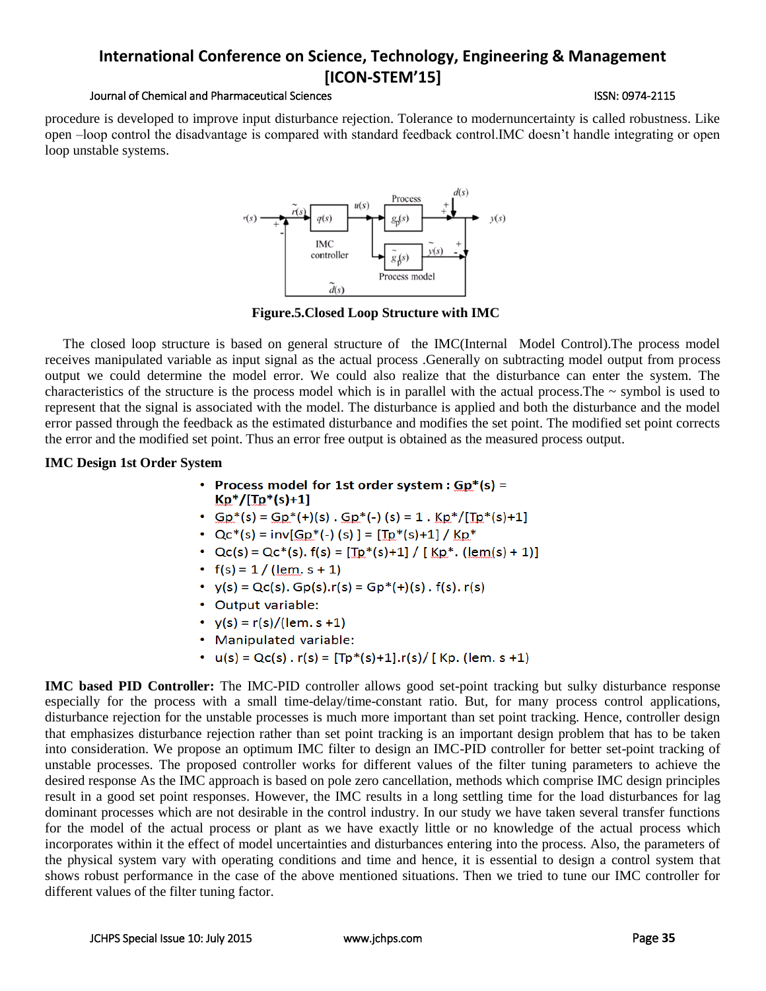### Journal of Chemical and Pharmaceutical Sciences ISSN: 0974-2115

procedure is developed to improve input disturbance rejection. Tolerance to modernuncertainty is called robustness. Like open –loop control the disadvantage is compared with standard feedback control.IMC doesn't handle integrating or open loop unstable systems.



**Figure.5.Closed Loop Structure with IMC**

The closed loop structure is based on general structure of the IMC(Internal Model Control).The process model receives manipulated variable as input signal as the actual process .Generally on subtracting model output from process output we could determine the model error. We could also realize that the disturbance can enter the system. The characteristics of the structure is the process model which is in parallel with the actual process. The  $\sim$  symbol is used to represent that the signal is associated with the model. The disturbance is applied and both the disturbance and the model error passed through the feedback as the estimated disturbance and modifies the set point. The modified set point corrects the error and the modified set point. Thus an error free output is obtained as the measured process output.

## **IMC Design 1st Order System**

- Process model for 1st order system :  $Gp*(s) =$  $Kp^*/[Tp^*(s)+1]$
- $Gp^*(s) = Gp^*(+)(s)$ .  $Gp^*(-)(s) = 1$ .  $Kp^*/[Tp^*(s)+1]$
- $Qc^*(s) = inv[GP^*(-)(s)] = [Tp^*(s)+1]/KD^*$
- $Qc(s) = Qc^*(s)$ .  $f(s) = [\text{Tp}^*(s)+1] / [\text{KP}^* \cdot (\text{lem}(s)+1)]$
- $f(s) = 1 / (\text{lem. } s + 1)$
- $y(s) = Qc(s)$ .  $Gp(s) \cdot r(s) = Gp^*(+) (s) \cdot r(s) \cdot r(s)$
- Output variable:
- $y(s) = r(s)/(lem. s + 1)$
- Manipulated variable:
- $u(s) = Qc(s)$ .  $r(s) = [Tp^*(s)+1] \cdot r(s) / [Kp. (lem. s + 1)]$

**IMC based PID Controller:** The IMC-PID controller allows good set-point tracking but sulky disturbance response especially for the process with a small time-delay/time-constant ratio. But, for many process control applications, disturbance rejection for the unstable processes is much more important than set point tracking. Hence, controller design that emphasizes disturbance rejection rather than set point tracking is an important design problem that has to be taken into consideration. We propose an optimum IMC filter to design an IMC-PID controller for better set-point tracking of unstable processes. The proposed controller works for different values of the filter tuning parameters to achieve the desired response As the IMC approach is based on pole zero cancellation, methods which comprise IMC design principles result in a good set point responses. However, the IMC results in a long settling time for the load disturbances for lag dominant processes which are not desirable in the control industry. In our study we have taken several transfer functions for the model of the actual process or plant as we have exactly little or no knowledge of the actual process which incorporates within it the effect of model uncertainties and disturbances entering into the process. Also, the parameters of the physical system vary with operating conditions and time and hence, it is essential to design a control system that shows robust performance in the case of the above mentioned situations. Then we tried to tune our IMC controller for different values of the filter tuning factor.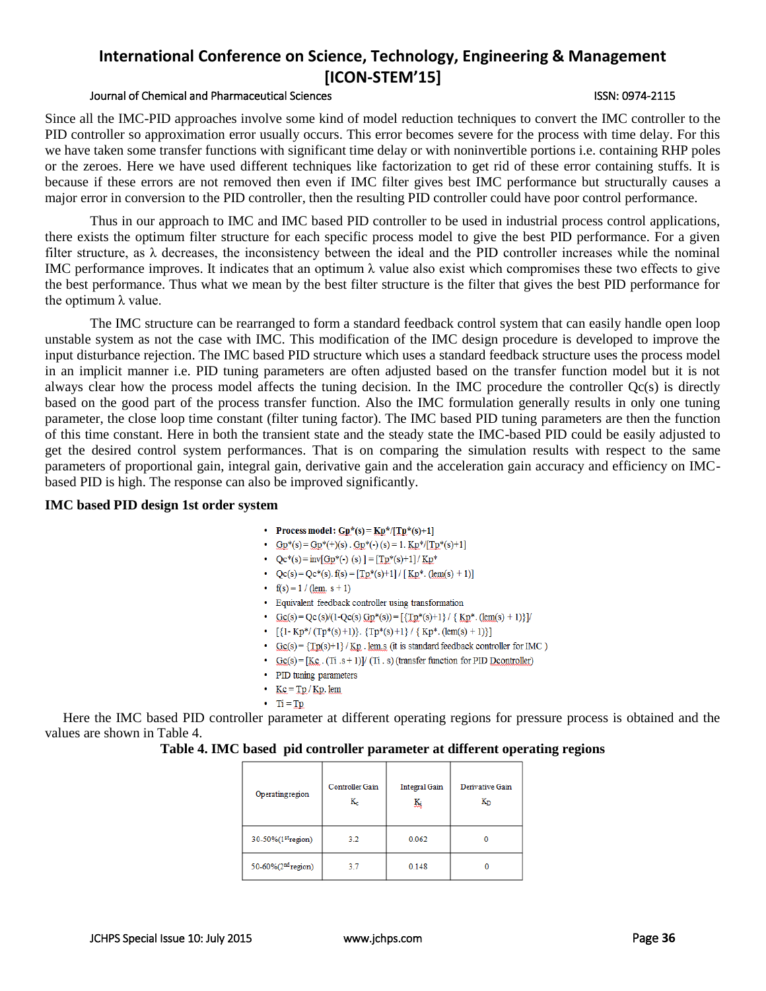### Journal of Chemical and Pharmaceutical Sciences ISSN: 0974-2115

Since all the IMC-PID approaches involve some kind of model reduction techniques to convert the IMC controller to the PID controller so approximation error usually occurs. This error becomes severe for the process with time delay. For this we have taken some transfer functions with significant time delay or with noninvertible portions i.e. containing RHP poles or the zeroes. Here we have used different techniques like factorization to get rid of these error containing stuffs. It is because if these errors are not removed then even if IMC filter gives best IMC performance but structurally causes a major error in conversion to the PID controller, then the resulting PID controller could have poor control performance.

Thus in our approach to IMC and IMC based PID controller to be used in industrial process control applications, there exists the optimum filter structure for each specific process model to give the best PID performance. For a given filter structure, as  $\lambda$  decreases, the inconsistency between the ideal and the PID controller increases while the nominal IMC performance improves. It indicates that an optimum λ value also exist which compromises these two effects to give the best performance. Thus what we mean by the best filter structure is the filter that gives the best PID performance for the optimum  $λ$  value.

The IMC structure can be rearranged to form a standard feedback control system that can easily handle open loop unstable system as not the case with IMC. This modification of the IMC design procedure is developed to improve the input disturbance rejection. The IMC based PID structure which uses a standard feedback structure uses the process model in an implicit manner i.e. PID tuning parameters are often adjusted based on the transfer function model but it is not always clear how the process model affects the tuning decision. In the IMC procedure the controller Qc(s) is directly based on the good part of the process transfer function. Also the IMC formulation generally results in only one tuning parameter, the close loop time constant (filter tuning factor). The IMC based PID tuning parameters are then the function of this time constant. Here in both the transient state and the steady state the IMC-based PID could be easily adjusted to get the desired control system performances. That is on comparing the simulation results with respect to the same parameters of proportional gain, integral gain, derivative gain and the acceleration gain accuracy and efficiency on IMCbased PID is high. The response can also be improved significantly.

### **IMC based PID design 1st order system**

- Process model:  $GP^*(s) = KP^*/[TP^*(s)+1]$
- $Gp^*(s) = Gp^*(+) (s) \cdot Gp^*(-) (s) = 1 \cdot Kp^*/[Tp^*(s)+1]$
- $Qc^*(s) = inv[GP^*(-)(s)] = [Tp^*(s)+1]/KP^*$
- $Qc(s) = Qc^*(s)$ .  $f(s) = [\text{Tp*}(s)+1] / [\text{Kp*}.(\text{lem}(s)+1)]$
- $f(s) = 1 / (lem. s + 1)$
- Equivalent feedback controller using transformation
- $\text{Gc}(s) = \text{Qc}(s)/(1-\text{Qc}(s) \text{ Gp}^*(s)) = [\text{Tr}(s) + 1]/(\text{Kp}^*(\text{lem}(s) + 1))]/$
- $[\{1-Kp^*/(Tp^*(s)+1)\}, \{Tp^*(s)+1\} / \{Kp^*.(\text{lem}(s)+1)\}]$
- $Gc(s) = {Tp(s)+1} / Kp$ . lem.s (it is standard feedback controller for IMC)
- $Gc(s) = [Kc \cdot (Ti \cdot s + 1)] / (Ti \cdot s)$  (transfer function for PID Dcontroller)
- PID tuning parameters
- $Kc = Tp/Kp$ . lem
- $\cdot$  Ti = Tp

Here the IMC based PID controller parameter at different operating regions for pressure process is obtained and the values are shown in Table 4.

### **Table 4. IMC based pid controller parameter at different operating regions**

| Operating region               | Controller Gain<br>$\rm K_c$ | <b>Integral Gain</b><br>騒 | Derivative Gain<br>Кŋ |
|--------------------------------|------------------------------|---------------------------|-----------------------|
| 30-50%(1 <sup>st</sup> region) | 3.2                          | 0.062                     |                       |
| 50-60%(2 <sup>nd</sup> region) | 3.7                          | 0.148                     |                       |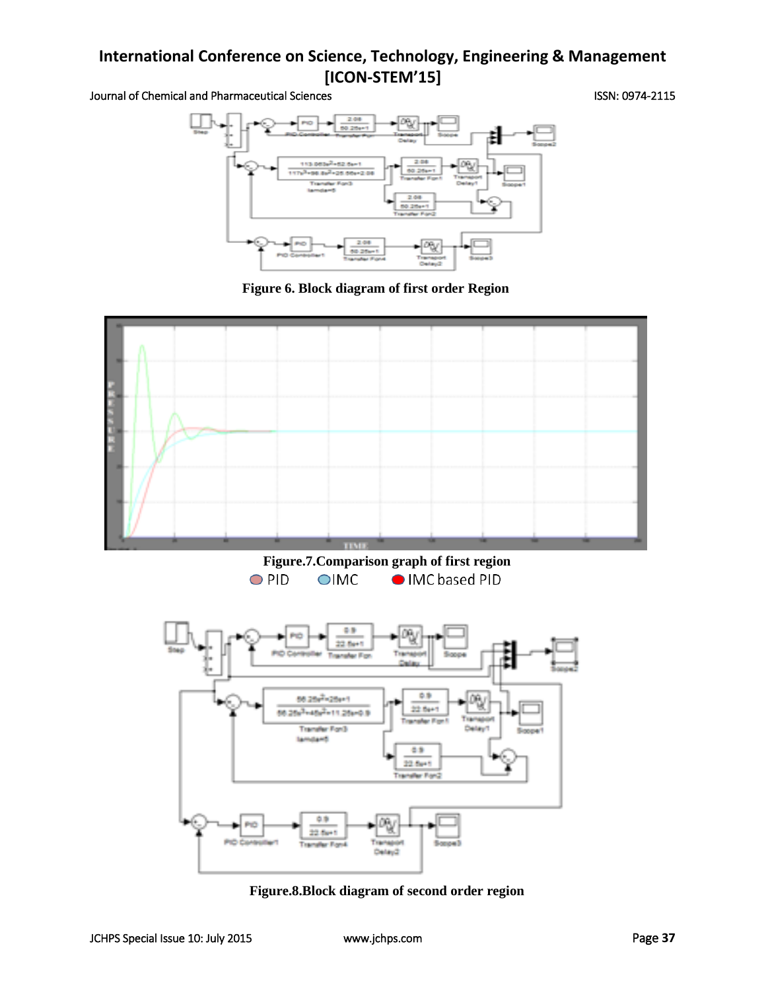Journal of Chemical and Pharmaceutical Sciences **ISSN: 0974-2115** 



**Figure 6. Block diagram of first order Region**



**Figure.8.Block diagram of second order region**